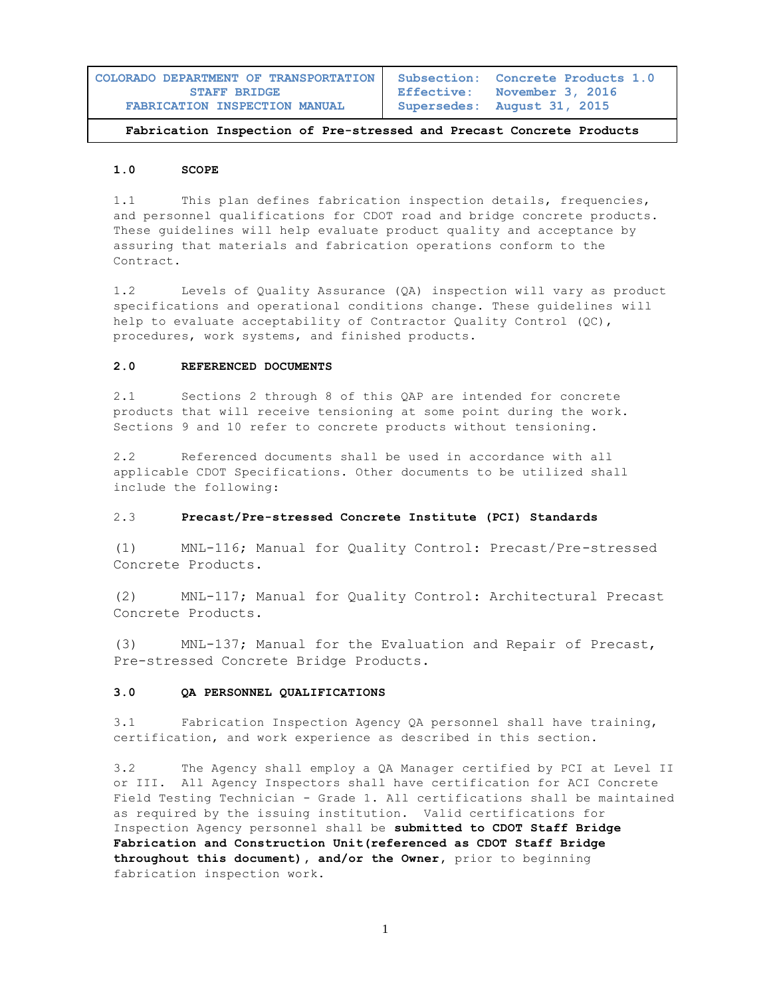| COLORADO DEPARTMENT OF TRANSPORTATION | Subsection: Concrete Products 1.0 |
|---------------------------------------|-----------------------------------|
| <b>STAFF BRIDGE</b>                   | Effective: November 3, 2016       |
| FABRICATION INSPECTION MANUAL         | Supersedes: August 31, 2015       |

#### **1.0 SCOPE**

1.1 This plan defines fabrication inspection details, frequencies, and personnel qualifications for CDOT road and bridge concrete products. These guidelines will help evaluate product quality and acceptance by assuring that materials and fabrication operations conform to the Contract.

1.2 Levels of Quality Assurance (QA) inspection will vary as product specifications and operational conditions change. These guidelines will help to evaluate acceptability of Contractor Ouality Control (OC), procedures, work systems, and finished products.

#### **2.0 REFERENCED DOCUMENTS**

2.1 Sections 2 through 8 of this QAP are intended for concrete products that will receive tensioning at some point during the work. Sections 9 and 10 refer to concrete products without tensioning.

2.2 Referenced documents shall be used in accordance with all applicable CDOT Specifications. Other documents to be utilized shall include the following:

## 2.3 **Precast/Pre-stressed Concrete Institute (PCI) Standards**

(1) MNL-116; Manual for Quality Control: Precast/Pre-stressed Concrete Products.

(2) MNL-117; Manual for Quality Control: Architectural Precast Concrete Products.

(3) MNL-137; Manual for the Evaluation and Repair of Precast, Pre-stressed Concrete Bridge Products.

## **3.0 QA PERSONNEL QUALIFICATIONS**

3.1 Fabrication Inspection Agency QA personnel shall have training, certification, and work experience as described in this section.

3.2 The Agency shall employ a QA Manager certified by PCI at Level II or III. All Agency Inspectors shall have certification for ACI Concrete Field Testing Technician - Grade 1. All certifications shall be maintained as required by the issuing institution. Valid certifications for Inspection Agency personnel shall be **submitted to CDOT Staff Bridge Fabrication and Construction Unit(referenced as CDOT Staff Bridge throughout this document), and/or the Owner,** prior to beginning fabrication inspection work.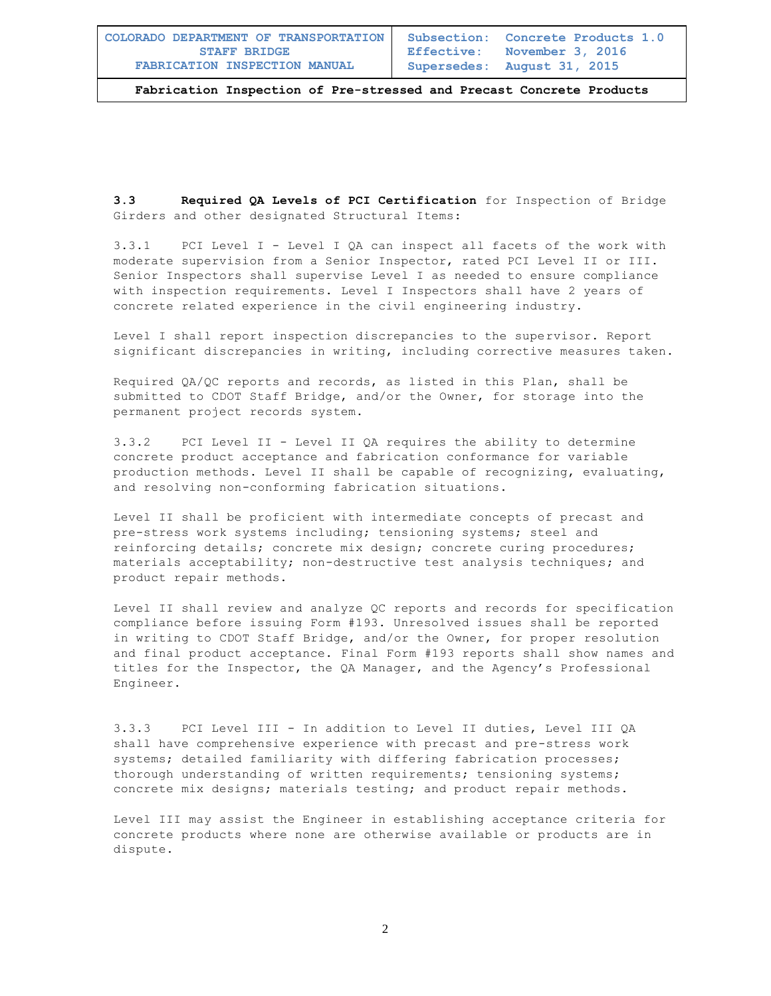**Subsection: Concrete Products 1.0 Effective: November 3, 2016 Supersedes: August 31, 2015**

**Fabrication Inspection of Pre-stressed and Precast Concrete Products** 

**3.3 Required QA Levels of PCI Certification** for Inspection of Bridge Girders and other designated Structural Items:

3.3.1 PCI Level I - Level I QA can inspect all facets of the work with moderate supervision from a Senior Inspector, rated PCI Level II or III. Senior Inspectors shall supervise Level I as needed to ensure compliance with inspection requirements. Level I Inspectors shall have 2 years of concrete related experience in the civil engineering industry.

Level I shall report inspection discrepancies to the supervisor. Report significant discrepancies in writing, including corrective measures taken.

Required QA/QC reports and records, as listed in this Plan, shall be submitted to CDOT Staff Bridge, and/or the Owner, for storage into the permanent project records system.

3.3.2 PCI Level II - Level II QA requires the ability to determine concrete product acceptance and fabrication conformance for variable production methods. Level II shall be capable of recognizing, evaluating, and resolving non-conforming fabrication situations.

Level II shall be proficient with intermediate concepts of precast and pre-stress work systems including; tensioning systems; steel and reinforcing details; concrete mix design; concrete curing procedures; materials acceptability; non-destructive test analysis techniques; and product repair methods.

Level II shall review and analyze QC reports and records for specification compliance before issuing Form #193. Unresolved issues shall be reported in writing to CDOT Staff Bridge, and/or the Owner, for proper resolution and final product acceptance. Final Form #193 reports shall show names and titles for the Inspector, the QA Manager, and the Agency's Professional Engineer.

3.3.3 PCI Level III - In addition to Level II duties, Level III QA shall have comprehensive experience with precast and pre-stress work systems; detailed familiarity with differing fabrication processes; thorough understanding of written requirements; tensioning systems; concrete mix designs; materials testing; and product repair methods.

Level III may assist the Engineer in establishing acceptance criteria for concrete products where none are otherwise available or products are in dispute.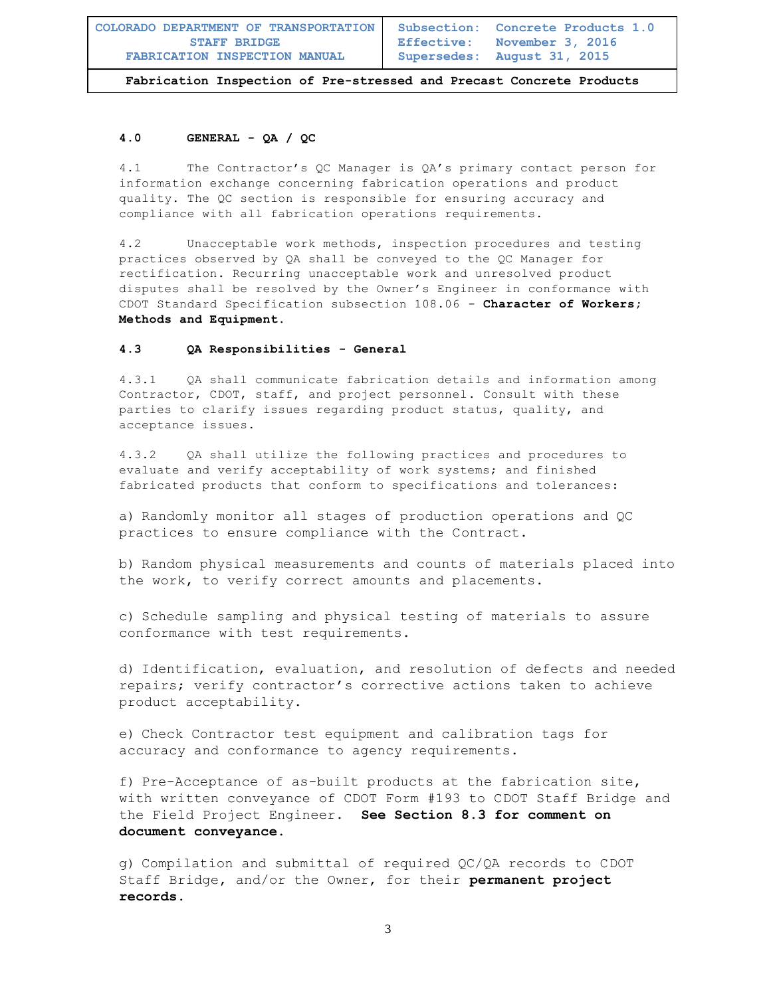## **4.0 GENERAL - QA / QC**

4.1 The Contractor's QC Manager is QA's primary contact person for information exchange concerning fabrication operations and product quality. The QC section is responsible for ensuring accuracy and compliance with all fabrication operations requirements.

4.2 Unacceptable work methods, inspection procedures and testing practices observed by QA shall be conveyed to the QC Manager for rectification. Recurring unacceptable work and unresolved product disputes shall be resolved by the Owner's Engineer in conformance with CDOT Standard Specification subsection 108.06 - **Character of Workers; Methods and Equipment.**

### **4.3 QA Responsibilities - General**

4.3.1 QA shall communicate fabrication details and information among Contractor, CDOT, staff, and project personnel. Consult with these parties to clarify issues regarding product status, quality, and acceptance issues.

4.3.2 QA shall utilize the following practices and procedures to evaluate and verify acceptability of work systems; and finished fabricated products that conform to specifications and tolerances:

a) Randomly monitor all stages of production operations and QC practices to ensure compliance with the Contract.

b) Random physical measurements and counts of materials placed into the work, to verify correct amounts and placements.

c) Schedule sampling and physical testing of materials to assure conformance with test requirements.

d) Identification, evaluation, and resolution of defects and needed repairs; verify contractor's corrective actions taken to achieve product acceptability.

e) Check Contractor test equipment and calibration tags for accuracy and conformance to agency requirements.

f) Pre-Acceptance of as-built products at the fabrication site, with written conveyance of CDOT Form #193 to CDOT Staff Bridge and the Field Project Engineer. **See Section 8.3 for comment on document conveyance.**

g) Compilation and submittal of required QC/QA records to CDOT Staff Bridge, and/or the Owner, for their **permanent project records.**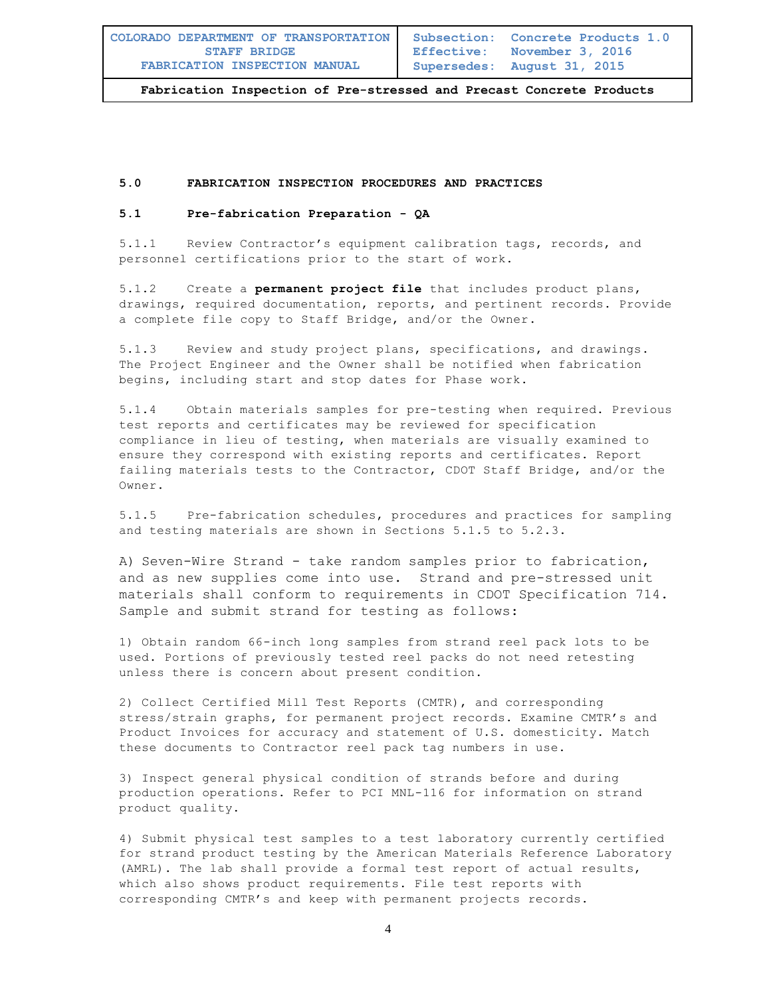**Subsection: Concrete Products 1.0 Effective: November 3, 2016 Supersedes: August 31, 2015**

**Fabrication Inspection of Pre-stressed and Precast Concrete Products** 

#### **5.0 FABRICATION INSPECTION PROCEDURES AND PRACTICES**

#### **5.1 Pre-fabrication Preparation - QA**

5.1.1 Review Contractor's equipment calibration tags, records, and personnel certifications prior to the start of work.

5.1.2 Create a **permanent project file** that includes product plans, drawings, required documentation, reports, and pertinent records. Provide a complete file copy to Staff Bridge, and/or the Owner.

5.1.3 Review and study project plans, specifications, and drawings. The Project Engineer and the Owner shall be notified when fabrication begins, including start and stop dates for Phase work.

5.1.4 Obtain materials samples for pre-testing when required. Previous test reports and certificates may be reviewed for specification compliance in lieu of testing, when materials are visually examined to ensure they correspond with existing reports and certificates. Report failing materials tests to the Contractor, CDOT Staff Bridge, and/or the Owner.

5.1.5 Pre-fabrication schedules, procedures and practices for sampling and testing materials are shown in Sections 5.1.5 to 5.2.3.

A) Seven-Wire Strand - take random samples prior to fabrication, and as new supplies come into use. Strand and pre-stressed unit materials shall conform to requirements in CDOT Specification 714. Sample and submit strand for testing as follows:

1) Obtain random 66-inch long samples from strand reel pack lots to be used. Portions of previously tested reel packs do not need retesting unless there is concern about present condition.

2) Collect Certified Mill Test Reports (CMTR), and corresponding stress/strain graphs, for permanent project records. Examine CMTR's and Product Invoices for accuracy and statement of U.S. domesticity. Match these documents to Contractor reel pack tag numbers in use.

3) Inspect general physical condition of strands before and during production operations. Refer to PCI MNL-116 for information on strand product quality.

4) Submit physical test samples to a test laboratory currently certified for strand product testing by the American Materials Reference Laboratory (AMRL). The lab shall provide a formal test report of actual results, which also shows product requirements. File test reports with corresponding CMTR's and keep with permanent projects records.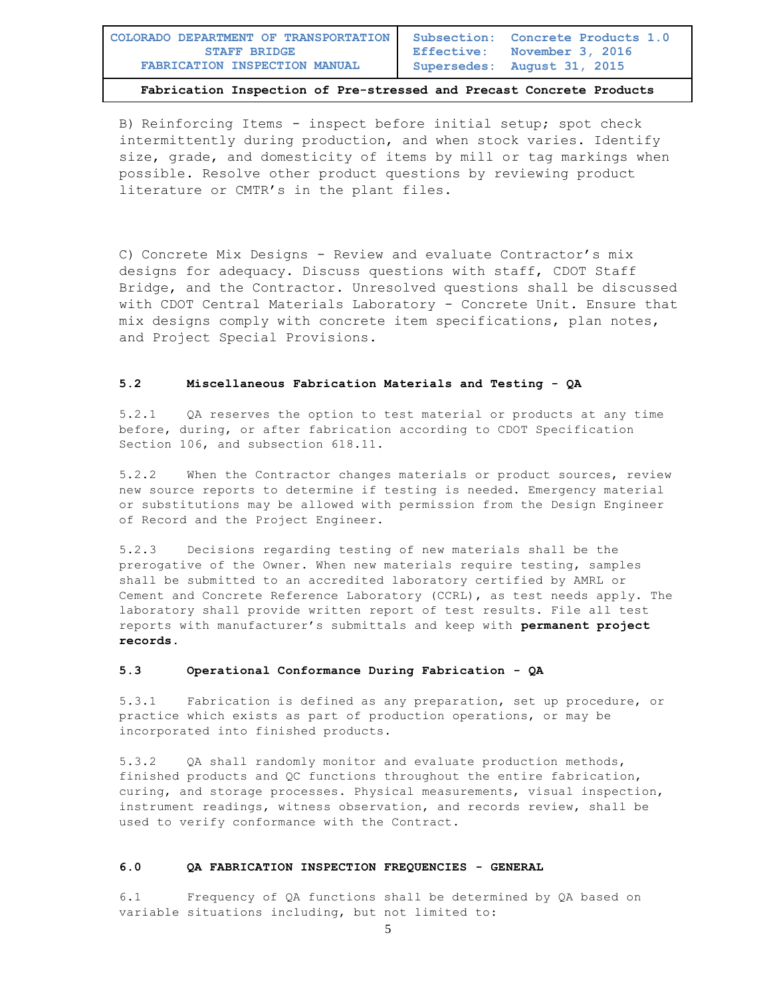B) Reinforcing Items - inspect before initial setup; spot check intermittently during production, and when stock varies. Identify size, grade, and domesticity of items by mill or tag markings when possible. Resolve other product questions by reviewing product literature or CMTR's in the plant files.

C) Concrete Mix Designs - Review and evaluate Contractor's mix designs for adequacy. Discuss questions with staff, CDOT Staff Bridge, and the Contractor. Unresolved questions shall be discussed with CDOT Central Materials Laboratory - Concrete Unit. Ensure that mix designs comply with concrete item specifications, plan notes, and Project Special Provisions.

## **5.2 Miscellaneous Fabrication Materials and Testing - QA**

5.2.1 QA reserves the option to test material or products at any time before, during, or after fabrication according to CDOT Specification Section 106, and subsection 618.11.

5.2.2 When the Contractor changes materials or product sources, review new source reports to determine if testing is needed. Emergency material or substitutions may be allowed with permission from the Design Engineer of Record and the Project Engineer.

5.2.3 Decisions regarding testing of new materials shall be the prerogative of the Owner. When new materials require testing, samples shall be submitted to an accredited laboratory certified by AMRL or Cement and Concrete Reference Laboratory (CCRL), as test needs apply. The laboratory shall provide written report of test results. File all test reports with manufacturer's submittals and keep with **permanent project records.**

#### **5.3 Operational Conformance During Fabrication - QA**

5.3.1 Fabrication is defined as any preparation, set up procedure, or practice which exists as part of production operations, or may be incorporated into finished products.

5.3.2 QA shall randomly monitor and evaluate production methods, finished products and QC functions throughout the entire fabrication, curing, and storage processes. Physical measurements, visual inspection, instrument readings, witness observation, and records review, shall be used to verify conformance with the Contract.

#### **6.0 QA FABRICATION INSPECTION FREQUENCIES - GENERAL**

6.1 Frequency of QA functions shall be determined by QA based on variable situations including, but not limited to: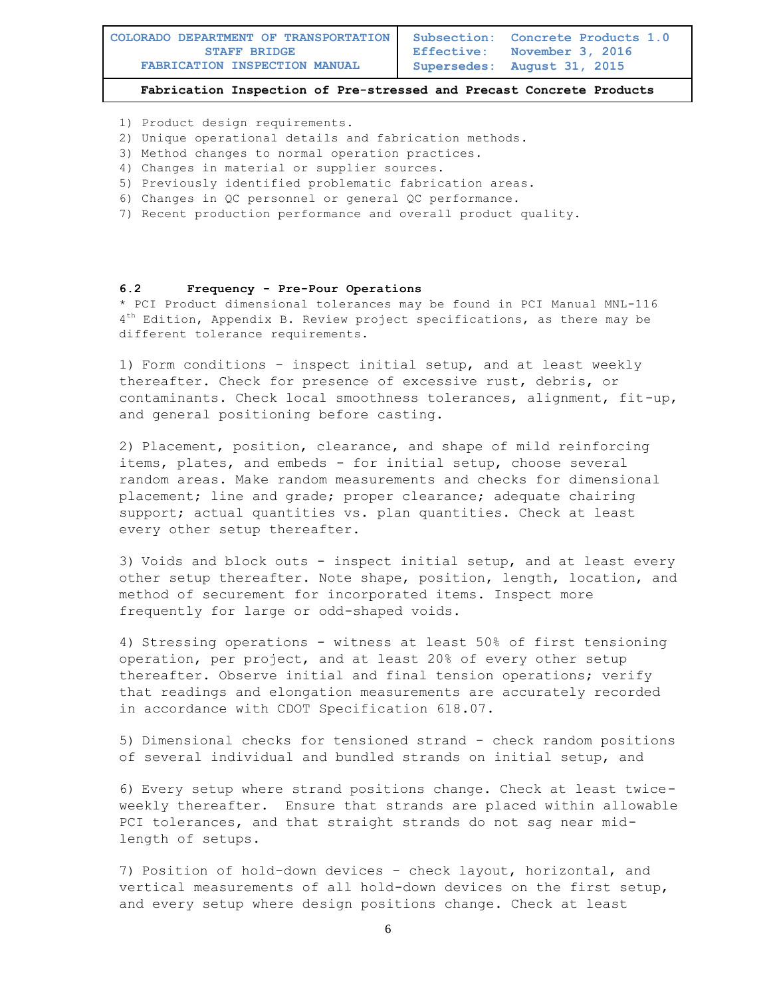- 1) Product design requirements.
- 2) Unique operational details and fabrication methods.
- 3) Method changes to normal operation practices.
- 4) Changes in material or supplier sources.
- 5) Previously identified problematic fabrication areas.
- 6) Changes in QC personnel or general QC performance.
- 7) Recent production performance and overall product quality.

#### **6.2 Frequency - Pre-Pour Operations**

\* PCI Product dimensional tolerances may be found in PCI Manual MNL-116 4 th Edition, Appendix B. Review project specifications, as there may be different tolerance requirements.

1) Form conditions - inspect initial setup, and at least weekly thereafter. Check for presence of excessive rust, debris, or contaminants. Check local smoothness tolerances, alignment, fit-up, and general positioning before casting.

2) Placement, position, clearance, and shape of mild reinforcing items, plates, and embeds - for initial setup, choose several random areas. Make random measurements and checks for dimensional placement; line and grade; proper clearance; adequate chairing support; actual quantities vs. plan quantities. Check at least every other setup thereafter.

3) Voids and block outs - inspect initial setup, and at least every other setup thereafter. Note shape, position, length, location, and method of securement for incorporated items. Inspect more frequently for large or odd-shaped voids.

4) Stressing operations - witness at least 50% of first tensioning operation, per project, and at least 20% of every other setup thereafter. Observe initial and final tension operations; verify that readings and elongation measurements are accurately recorded in accordance with CDOT Specification 618.07.

5) Dimensional checks for tensioned strand - check random positions of several individual and bundled strands on initial setup, and

6) Every setup where strand positions change. Check at least twiceweekly thereafter. Ensure that strands are placed within allowable PCI tolerances, and that straight strands do not sag near midlength of setups.

7) Position of hold-down devices - check layout, horizontal, and vertical measurements of all hold-down devices on the first setup, and every setup where design positions change. Check at least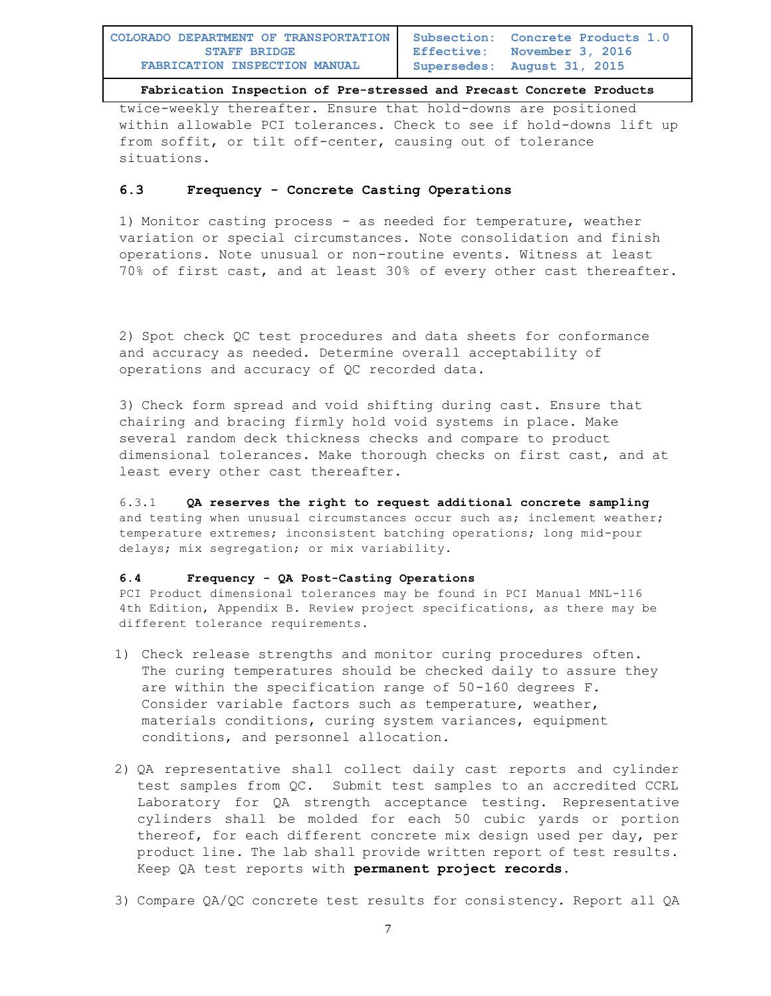twice-weekly thereafter. Ensure that hold-downs are positioned within allowable PCI tolerances. Check to see if hold-downs lift up from soffit, or tilt off-center, causing out of tolerance situations.

# **6.3 Frequency - Concrete Casting Operations**

1) Monitor casting process - as needed for temperature, weather variation or special circumstances. Note consolidation and finish operations. Note unusual or non-routine events. Witness at least 70% of first cast, and at least 30% of every other cast thereafter.

2) Spot check QC test procedures and data sheets for conformance and accuracy as needed. Determine overall acceptability of operations and accuracy of QC recorded data.

3) Check form spread and void shifting during cast. Ensure that chairing and bracing firmly hold void systems in place. Make several random deck thickness checks and compare to product dimensional tolerances. Make thorough checks on first cast, and at least every other cast thereafter.

6.3.1 **QA reserves the right to request additional concrete sampling** and testing when unusual circumstances occur such as; inclement weather; temperature extremes; inconsistent batching operations; long mid-pour delays; mix segregation; or mix variability.

## **6.4 Frequency - QA Post-Casting Operations**

PCI Product dimensional tolerances may be found in PCI Manual MNL-116 4th Edition, Appendix B. Review project specifications, as there may be different tolerance requirements.

- 1) Check release strengths and monitor curing procedures often. The curing temperatures should be checked daily to assure they are within the specification range of 50-160 degrees F. Consider variable factors such as temperature, weather, materials conditions, curing system variances, equipment conditions, and personnel allocation.
- 2) QA representative shall collect daily cast reports and cylinder test samples from QC. Submit test samples to an accredited CCRL Laboratory for QA strength acceptance testing. Representative cylinders shall be molded for each 50 cubic yards or portion thereof, for each different concrete mix design used per day, per product line. The lab shall provide written report of test results. Keep QA test reports with **permanent project records.**
- 3) Compare QA/QC concrete test results for consistency. Report all QA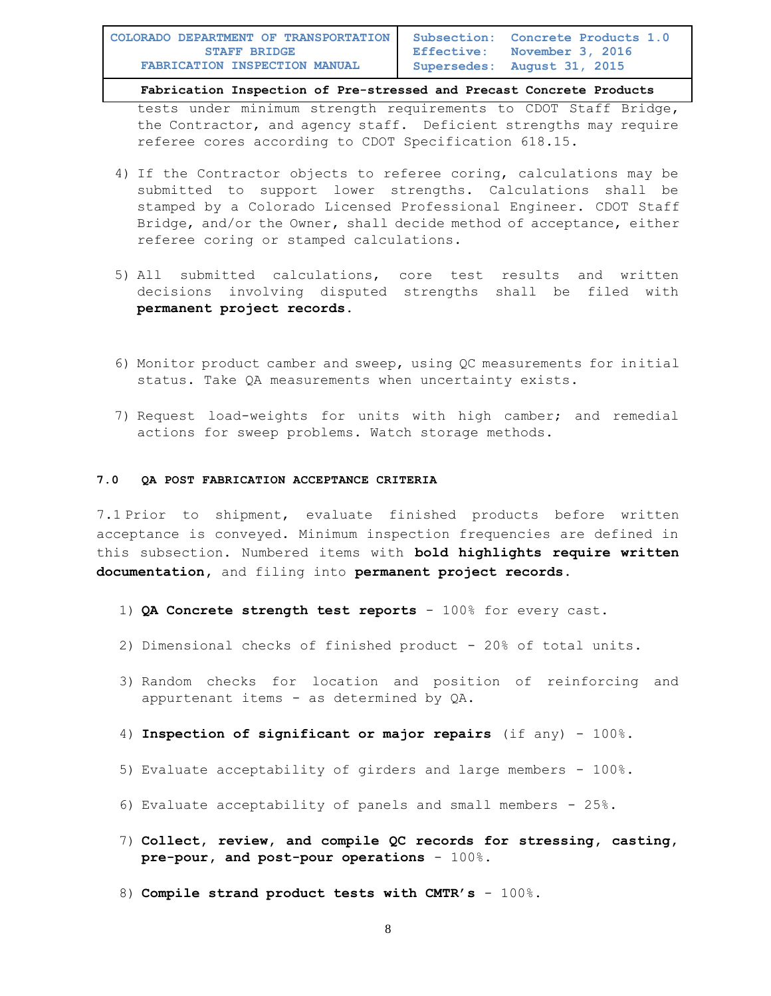tests under minimum strength requirements to CDOT Staff Bridge, the Contractor, and agency staff. Deficient strengths may require referee cores according to CDOT Specification 618.15.

- 4) If the Contractor objects to referee coring, calculations may be submitted to support lower strengths. Calculations shall be stamped by a Colorado Licensed Professional Engineer. CDOT Staff Bridge, and/or the Owner, shall decide method of acceptance, either referee coring or stamped calculations.
- 5) All submitted calculations, core test results and written decisions involving disputed strengths shall be filed with **permanent project records.**
- 6) Monitor product camber and sweep, using QC measurements for initial status. Take QA measurements when uncertainty exists.
- 7) Request load-weights for units with high camber; and remedial actions for sweep problems. Watch storage methods.

#### **7.0 QA POST FABRICATION ACCEPTANCE CRITERIA**

7.1 Prior to shipment, evaluate finished products before written acceptance is conveyed. Minimum inspection frequencies are defined in this subsection. Numbered items with **bold highlights require written documentation,** and filing into **permanent project records.**

- 1) **QA Concrete strength test reports** 100% for every cast.
- 2) Dimensional checks of finished product 20% of total units.
- 3) Random checks for location and position of reinforcing and appurtenant items - as determined by QA.
- 4) **Inspection of significant or major repairs** (if any) 100%.
- 5) Evaluate acceptability of girders and large members  $-100\%$ .
- 6) Evaluate acceptability of panels and small members 25%.
- 7) **Collect, review, and compile QC records for stressing, casting, pre-pour, and post-pour operations** - 100%.
- 8) **Compile strand product tests with CMTR's** 100%.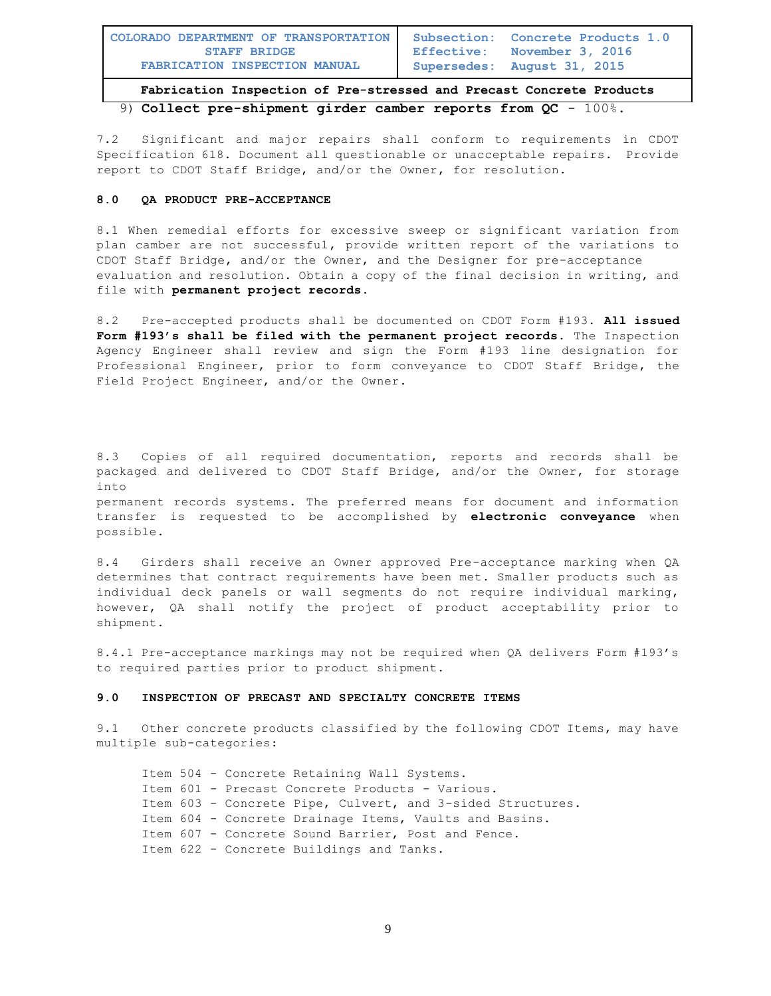| COLORADO DEPARTMENT OF TRANSPORTATION | Subsection: Concrete Products 1.0 |
|---------------------------------------|-----------------------------------|
| <b>STAFF BRIDGE</b>                   | Effective: November 3, 2016       |
| <b>FABRICATION INSPECTION MANUAL</b>  | Supersedes: August 31, 2015       |

**Fabrication Inspection of Pre-stressed and Precast Concrete Products**  9) **Collect pre-shipment girder camber reports from QC** - 100%.

7.2 Significant and major repairs shall conform to requirements in CDOT Specification 618. Document all questionable or unacceptable repairs. Provide report to CDOT Staff Bridge, and/or the Owner, for resolution.

## **8.0 QA PRODUCT PRE-ACCEPTANCE**

8.1 When remedial efforts for excessive sweep or significant variation from plan camber are not successful, provide written report of the variations to CDOT Staff Bridge, and/or the Owner, and the Designer for pre-acceptance evaluation and resolution. Obtain a copy of the final decision in writing, and file with **permanent project records.**

8.2 Pre-accepted products shall be documented on CDOT Form #193. **All issued Form #193's shall be filed with the permanent project records.** The Inspection Agency Engineer shall review and sign the Form #193 line designation for Professional Engineer, prior to form conveyance to CDOT Staff Bridge, the Field Project Engineer, and/or the Owner.

8.3 Copies of all required documentation, reports and records shall be packaged and delivered to CDOT Staff Bridge, and/or the Owner, for storage into permanent records systems. The preferred means for document and information transfer is requested to be accomplished by **electronic conveyance** when possible.

8.4 Girders shall receive an Owner approved Pre-acceptance marking when QA determines that contract requirements have been met. Smaller products such as individual deck panels or wall segments do not require individual marking, however, QA shall notify the project of product acceptability prior to shipment.

8.4.1 Pre-acceptance markings may not be required when QA delivers Form #193's to required parties prior to product shipment.

## **9.0 INSPECTION OF PRECAST AND SPECIALTY CONCRETE ITEMS**

9.1 Other concrete products classified by the following CDOT Items, may have multiple sub-categories:

```
Item 504 - Concrete Retaining Wall Systems.
Item 601 - Precast Concrete Products - Various.
Item 603 - Concrete Pipe, Culvert, and 3-sided Structures.
Item 604 - Concrete Drainage Items, Vaults and Basins.
Item 607 - Concrete Sound Barrier, Post and Fence.
Item 622 - Concrete Buildings and Tanks.
```